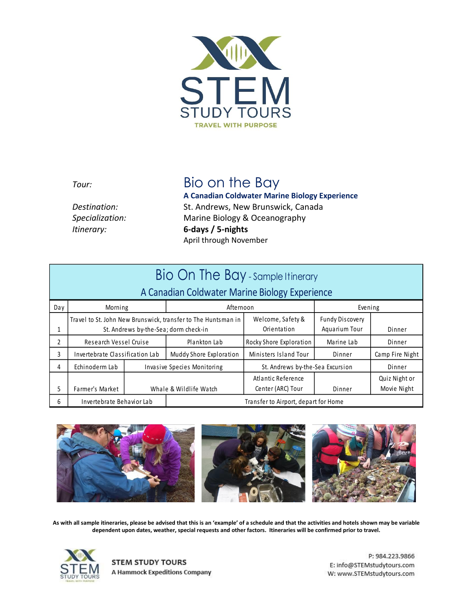

## *Tour:* Bio on the Bay

**A Canadian Coldwater Marine Biology Experience** *Destination:* St. Andrews, New Brunswick, Canada *Specialization:* Marine Biology & Oceanography *Itinerary:* **6-days / 5-nights**  April through November

|                                                | Bio On The Bay - sample Itinerary                                                                      |                                    |                                      |                                         |                                  |                              |  |
|------------------------------------------------|--------------------------------------------------------------------------------------------------------|------------------------------------|--------------------------------------|-----------------------------------------|----------------------------------|------------------------------|--|
| A Canadian Coldwater Marine Biology Experience |                                                                                                        |                                    |                                      |                                         |                                  |                              |  |
| Day                                            | Morning                                                                                                |                                    | Afternoon                            |                                         | Evening                          |                              |  |
| 1                                              | Travel to St. John New Brunswick, transfer to The Huntsman in<br>St. Andrews by-the-Sea; dorm check-in |                                    |                                      | Welcome, Safety &<br>Orientation        | Fundy Discovery<br>Aquarium Tour | Dinner                       |  |
| $\overline{2}$                                 | Research Vessel Cruise                                                                                 |                                    | Plankton Lab                         | Rocky Shore Exploration                 | Marine Lab                       | Dinner                       |  |
| 3                                              | Invertebrate Classification Lab                                                                        |                                    | Muddy Shore Exploration              | Ministers Island Tour                   | Dinner                           | Camp Fire Night              |  |
| 4                                              | Echinoderm Lab                                                                                         | <b>Invasive Species Monitoring</b> |                                      | St. Andrews by-the-Sea Excursion        |                                  | Dinner                       |  |
| 5.                                             | Farmer's Market                                                                                        | Whale & Wildlife Watch             |                                      | Atlantic Reference<br>Center (ARC) Tour | Dinner                           | Quiz Night or<br>Movie Night |  |
| 6                                              | Invertebrate Behavior Lab                                                                              |                                    | Transfer to Airport, depart for Home |                                         |                                  |                              |  |



**As with all sample itineraries, please be advised that this is an 'example' of a schedule and that the activities and hotels shown may be variable dependent upon dates, weather, special requests and other factors. Itineraries will be confirmed prior to travel.**



**STEM STUDY TOURS** A Hammock Expeditions Company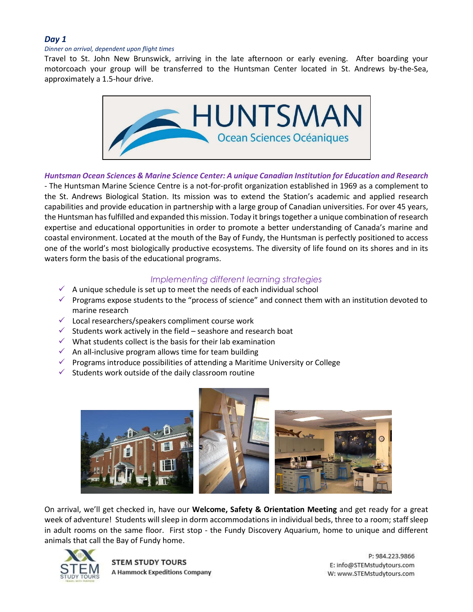## *Day 1*

#### *Dinner on arrival, dependent upon flight times*

Travel to St. John New Brunswick, arriving in the late afternoon or early evening. After boarding your motorcoach your group will be transferred to the Huntsman Center located in St. Andrews by-the-Sea, approximately a 1.5-hour drive.



## *Huntsman Ocean Sciences & Marine Science Center: A unique Canadian Institution for Education and Research*

- The Huntsman Marine Science Centre is a not-for-profit organization established in 1969 as a complement to the St. Andrews Biological Station. Its mission was to extend the Station's academic and applied research capabilities and provide education in partnership with a large group of Canadian universities. For over 45 years, the Huntsman has fulfilled and expanded this mission. Today it brings together a unique combination of research expertise and educational opportunities in order to promote a better understanding of Canada's marine and coastal environment. Located at the mouth of the Bay of Fundy, the Huntsman is perfectly positioned to access one of the world's most biologically productive ecosystems. The diversity of life found on its shores and in its waters form the basis of the educational programs.

## *Implementing different learning strategies*

- $\checkmark$  A unique schedule is set up to meet the needs of each individual school
- $\checkmark$  Programs expose students to the "process of science" and connect them with an institution devoted to marine research
- $\checkmark$  Local researchers/speakers compliment course work
- $\checkmark$  Students work actively in the field seashore and research boat
- $\checkmark$  What students collect is the basis for their lab examination
- $\checkmark$  An all-inclusive program allows time for team building
- ✓ Programs introduce possibilities of attending a Maritime University or College
- $\checkmark$  Students work outside of the daily classroom routine



On arrival, we'll get checked in, have our **Welcome, Safety & Orientation Meeting** and get ready for a great week of adventure! Students will sleep in dorm accommodations in individual beds, three to a room; staff sleep in adult rooms on the same floor. First stop - the Fundy Discovery Aquarium, home to unique and different animals that call the Bay of Fundy home.



**STEM STUDY TOURS A Hammock Expeditions Company**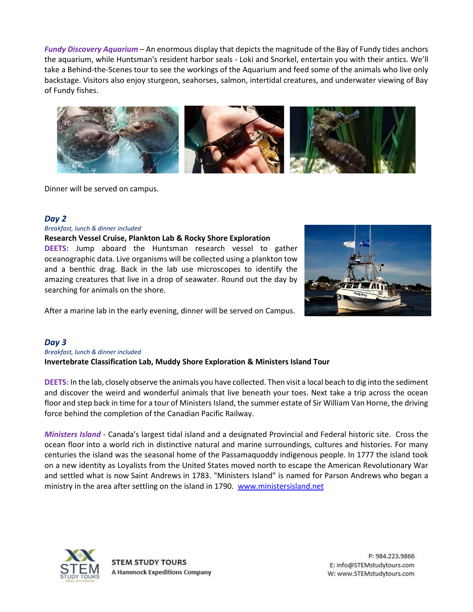*Fundy Discovery Aquarium* – An enormous display that depicts the magnitude of the Bay of Fundy tides anchors the aquarium, while Huntsman's resident harbor seals - Loki and Snorkel, entertain you with their antics. We'll take a Behind-the-Scenes tour to see the workings of the Aquarium and feed some of the animals who live only backstage. Visitors also enjoy sturgeon, seahorses, salmon, intertidal creatures, and underwater viewing of Bay of Fundy fishes.



Dinner will be served on campus.

#### *Day 2*

#### *Breakfast, lunch & dinner included*

#### **Research Vessel Cruise, Plankton Lab & Rocky Shore Exploration**

**DEETS:** Jump aboard the Huntsman research vessel to gather oceanographic data. Live organisms will be collected using a plankton tow and a benthic drag. Back in the lab use microscopes to identify the amazing creatures that live in a drop of seawater. Round out the day by searching for animals on the shore.



After a marine lab in the early evening, dinner will be served on Campus.

#### *Day 3*

#### *Breakfast, lunch & dinner included* **Invertebrate Classification Lab, Muddy Shore Exploration & Ministers Island Tour**

**DEETS:** In the lab, closely observe the animals you have collected. Then visit a local beach to dig into the sediment and discover the weird and wonderful animals that live beneath your toes. Next take a trip across the ocean floor and step back in time for a tour of Ministers Island, the summer estate of Sir William Van Horne, the driving force behind the completion of the Canadian Pacific Railway.

*Ministers Island* - Canada's largest tidal island and a designated Provincial and Federal historic site. Cross the ocean floor into a world rich in distinctive natural and marine surroundings, cultures and histories. For many centuries the island was the seasonal home of the Passamaquoddy indigenous people. In 1777 the island took on a new identity as Loyalists from the United States moved north to escape the American Revolutionary War and settled what is now Saint Andrews in 1783. "Ministers Island" is named for Parson Andrews who began a ministry in the area after settling on the island in 1790. [www.ministersisland.net](http://www.ministersisland.net/)

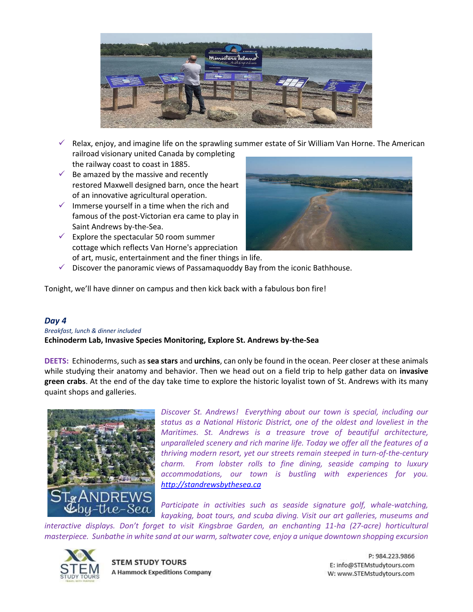

- $\checkmark$  Relax, enjoy, and imagine life on the sprawling summer estate of Sir William Van Horne. The American railroad visionary united Canada by completing the railway coast to coast in 1885.
- $\checkmark$  Be amazed by the massive and recently restored Maxwell designed barn, once the heart of an innovative agricultural operation.
- $\checkmark$  Immerse yourself in a time when the rich and famous of the post-Victorian era came to play in Saint Andrews by-the-Sea.
- $\checkmark$  Explore the spectacular 50 room summer cottage which reflects Van Horne's appreciation of art, music, entertainment and the finer things in life.



 $\checkmark$  Discover the panoramic views of Passamaquoddy Bay from the iconic Bathhouse.

Tonight, we'll have dinner on campus and then kick back with a fabulous bon fire!

### *Day 4*

*Breakfast, lunch & dinner included* **Echinoderm Lab, Invasive Species Monitoring, Explore St. Andrews by-the-Sea**

**DEETS:** Echinoderms, such as **sea stars** and **urchins**, can only be found in the ocean. Peer closer at these animals while studying their anatomy and behavior. Then we head out on a field trip to help gather data on **invasive green crabs**. At the end of the day take time to explore the historic loyalist town of St. Andrews with its many quaint shops and galleries.



*Discover St. Andrews! Everything about our town is special, including our status as a National Historic District, one of the oldest and loveliest in the Maritimes. St. Andrews is a treasure trove of beautiful architecture, unparalleled scenery and rich marine life. Today we offer all the features of a thriving modern resort, yet our streets remain steeped in turn-of-the-century charm. From lobster rolls to fine dining, seaside camping to luxury accommodations, our town is bustling with experiences for you. [http://standrewsbythesea.ca](http://standrewsbythesea.ca/)*

Participate in activities such as seaside signature golf, whale-watching, *kayaking, boat tours, and scuba diving. Visit our art galleries, museums and* 

*interactive displays. Don't forget to visit Kingsbrae Garden, an enchanting 11-ha (27-acre) horticultural masterpiece. Sunbathe in white sand at our warm, saltwater cove, enjoy a unique downtown shopping excursion* 



**STEM STUDY TOURS A Hammock Expeditions Company**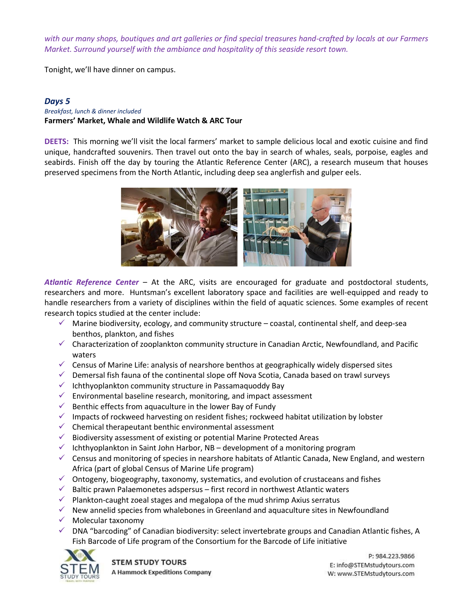*with our many shops, boutiques and art galleries or find special treasures hand-crafted by locals at our Farmers Market. Surround yourself with the ambiance and hospitality of this seaside resort town.*

Tonight, we'll have dinner on campus.

#### *Days 5*

## *Breakfast, lunch & dinner included*

## **Farmers' Market, Whale and Wildlife Watch & ARC Tour**

**DEETS:** This morning we'll visit the local farmers' market to sample delicious local and exotic cuisine and find unique, handcrafted souvenirs. Then travel out onto the bay in search of whales, seals, porpoise, eagles and seabirds. Finish off the day by touring the Atlantic Reference Center (ARC), a research museum that houses preserved specimens from the North Atlantic, including deep sea anglerfish and gulper eels.



*Atlantic Reference Center* – At the ARC, visits are encouraged for graduate and postdoctoral students, researchers and more. Huntsman's excellent laboratory space and facilities are well-equipped and ready to handle researchers from a variety of disciplines within the field of aquatic sciences. Some examples of recent research topics studied at the center include:

- $\checkmark$  Marine biodiversity, ecology, and community structure coastal, continental shelf, and deep-sea benthos, plankton, and fishes
- $\checkmark$  Characterization of zooplankton community structure in Canadian Arctic, Newfoundland, and Pacific waters
- $\checkmark$  Census of Marine Life: analysis of nearshore benthos at geographically widely dispersed sites
- ✓ Demersal fish fauna of the continental slope off Nova Scotia, Canada based on trawl surveys
- $\checkmark$  Ichthyoplankton community structure in Passamaquoddy Bay
- $\checkmark$  Environmental baseline research, monitoring, and impact assessment
- $\checkmark$  Benthic effects from aquaculture in the lower Bay of Fundy
- $\checkmark$  Impacts of rockweed harvesting on resident fishes; rockweed habitat utilization by lobster
- $\checkmark$  Chemical therapeutant benthic environmental assessment
- ✓ Biodiversity assessment of existing or potential Marine Protected Areas
- $\checkmark$  Ichthyoplankton in Saint John Harbor, NB development of a monitoring program
- $\checkmark$  Census and monitoring of species in nearshore habitats of Atlantic Canada, New England, and western Africa (part of global Census of Marine Life program)
- $\checkmark$  Ontogeny, biogeography, taxonomy, systematics, and evolution of crustaceans and fishes
- $\checkmark$  Baltic prawn Palaemonetes adspersus first record in northwest Atlantic waters
- $\checkmark$  Plankton-caught zoeal stages and megalopa of the mud shrimp Axius serratus
- $\checkmark$  New annelid species from whalebones in Greenland and aquaculture sites in Newfoundland
- $\checkmark$  Molecular taxonomy
- $\checkmark$  DNA "barcoding" of Canadian biodiversity: select invertebrate groups and Canadian Atlantic fishes, A Fish Barcode of Life program of the Consortium for the Barcode of Life initiative



**STEM STUDY TOURS A Hammock Expeditions Company**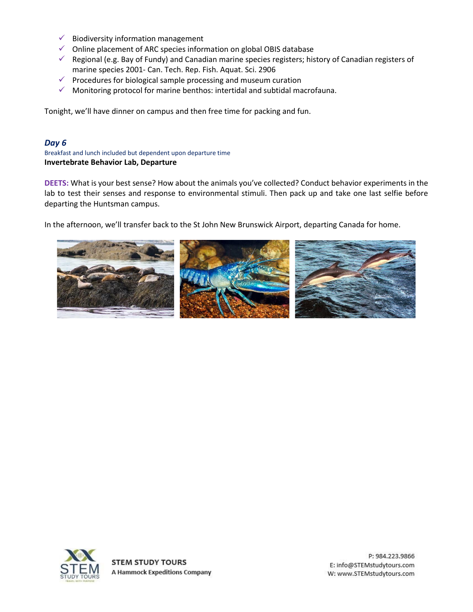- $\checkmark$  Biodiversity information management
- ✓ Online placement of ARC species information on global OBIS database
- ✓ Regional (e.g. Bay of Fundy) and Canadian marine species registers; history of Canadian registers of marine species 2001‐ Can. Tech. Rep. Fish. Aquat. Sci. 2906
- $\checkmark$  Procedures for biological sample processing and museum curation
- $\checkmark$  Monitoring protocol for marine benthos: intertidal and subtidal macrofauna.

Tonight, we'll have dinner on campus and then free time for packing and fun.

## *Day 6*

Breakfast and lunch included but dependent upon departure time **Invertebrate Behavior Lab, Departure**

**DEETS:** What is your best sense? How about the animals you've collected? Conduct behavior experiments in the lab to test their senses and response to environmental stimuli. Then pack up and take one last selfie before departing the Huntsman campus.

In the afternoon, we'll transfer back to the St John New Brunswick Airport, departing Canada for home.